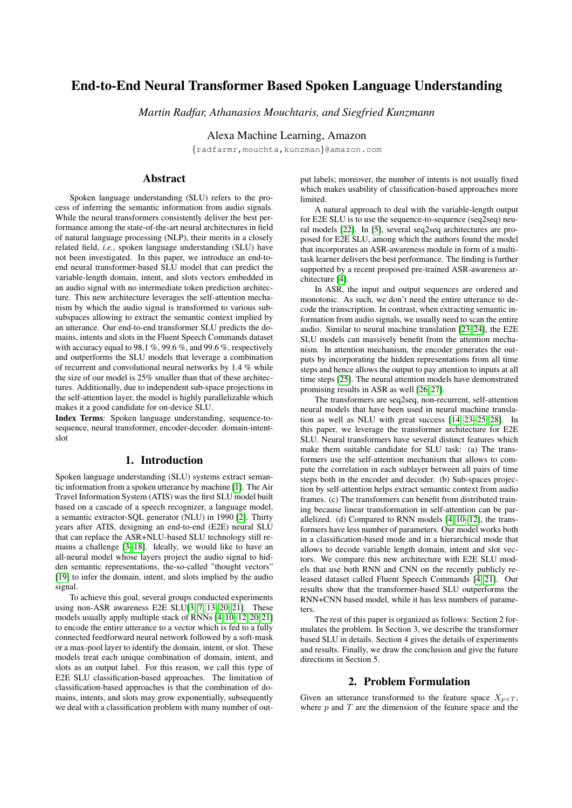# End-to-End Neural Transformer Based Spoken Language Understanding

*Martin Radfar, Athanasios Mouchtaris, and Siegfried Kunzmann*

Alexa Machine Learning, Amazon

{radfarmr,mouchta,kunzman}@amazon.com

# Abstract

Spoken language understanding (SLU) refers to the process of inferring the semantic information from audio signals. While the neural transformers consistently deliver the best performance among the state-of-the-art neural architectures in field of natural language processing (NLP), their merits in a closely related field, *i.e.*, spoken language understanding (SLU) have not been investigated. In this paper, we introduce an end-toend neural transformer-based SLU model that can predict the variable-length domain, intent, and slots vectors embedded in an audio signal with no intermediate token prediction architecture. This new architecture leverages the self-attention mechanism by which the audio signal is transformed to various subsubspaces allowing to extract the semantic context implied by an utterance. Our end-to-end transformer SLU predicts the domains, intents and slots in the Fluent Speech Commands dataset with accuracy equal to 98.1 %, 99.6 %, and 99.6 %, respectively and outperforms the SLU models that leverage a combination of recurrent and convolutional neural networks by 1.4 % while the size of our model is 25% smaller than that of these architectures. Additionally, due to independent sub-space projections in the self-attention layer, the model is highly parallelizable which makes it a good candidate for on-device SLU.

Index Terms: Spoken language understanding, sequence-tosequence, neural transformer, encoder-decoder. domain-intentslot

## 1. Introduction

Spoken language understanding (SLU) systems extract semantic information from a spoken utterance by machine [\[1\]](#page-4-0). The Air Travel Information System (ATIS) was the first SLU model built based on a cascade of a speech recognizer, a language model, a semantic extractor-SQL generator (NLU) in 1990 [\[2\]](#page-4-1). Thirty years after ATIS, designing an end-to-end (E2E) neural SLU that can replace the ASR+NLU-based SLU technology still remains a challenge [\[3](#page-4-2)[–18\]](#page-4-3). Ideally, we would like to have an all-neural model whose layers project the audio signal to hidden semantic representations, the-so-called "thought vectors" [\[19\]](#page-4-4) to infer the domain, intent, and slots implied by the audio signal.

To achieve this goal, several groups conducted experiments using non-ASR awareness E2E SLU[\[3,](#page-4-2) [7,](#page-4-5) [13,](#page-4-6) [20,](#page-4-7) [21\]](#page-4-8). These models usually apply multiple stack of RNNs [\[4,](#page-4-9) [10–](#page-4-10)[12,](#page-4-11) [20,](#page-4-7) [21\]](#page-4-8) to encode the entire utterance to a vector which is fed to a fully connected feedforward neural network followed by a soft-mask or a max-pool layer to identify the domain, intent, or slot. These models treat each unique combination of domain, intent, and slots as an output label. For this reason, we call this type of E2E SLU classification-based approaches. The limitation of classification-based approaches is that the combination of domains, intents, and slots may grow exponentially, subsequently we deal with a classification problem with many number of output labels; moreover, the number of intents is not usually fixed which makes usability of classification-based approaches more **limited** 

A natural approach to deal with the variable-length output for E2E SLU is to use the sequence-to-sequence (seq2seq) neural models [\[22\]](#page-4-12). In [\[5\]](#page-4-13), several seq2seq architectures are proposed for E2E SLU, among which the authors found the model that incorporates an ASR-awareness module in form of a multitask learner delivers the best performance. The finding is further supported by a recent proposed pre-trained ASR-awareness architecture [\[4\]](#page-4-9).

In ASR, the input and output sequences are ordered and monotonic. As such, we don't need the entire utterance to decode the transcription. In contrast, when extracting semantic information from audio signals, we usually need to scan the entire audio. Similar to neural machine translation [\[23,](#page-4-14) [24\]](#page-4-15), the E2E SLU models can massively benefit from the attention mechanism. In attention mechanism, the encoder generates the outputs by incorporating the hidden representations from all time steps and hence allows the output to pay attention to inputs at all time steps [\[25\]](#page-4-16). The neural attention models have demonstrated promising results in ASR as well [\[26,](#page-4-17) [27\]](#page-4-18).

The transformers are seq2seq, non-recurrent, self-attention neural models that have been used in neural machine translation as well as NLU with great success [\[14,](#page-4-19) [23](#page-4-14)[–25,](#page-4-16) [28\]](#page-4-20). In this paper, we leverage the transformer architecture for E2E SLU. Neural transformers have several distinct features which make them suitable candidate for SLU task: (a) The transformers use the self-attention mechanism that allows to compute the correlation in each sublayer between all pairs of time steps both in the encoder and decoder. (b) Sub-spaces projection by self-attention helps extract semantic context from audio frames. (c) The transformers can benefit from distributed training because linear transformation in self-attention can be parallelized. (d) Compared to RNN models [\[4,](#page-4-9) [10–](#page-4-10)[12\]](#page-4-11), the transformers have less number of parameters. Our model works both in a classification-based mode and in a hierarchical mode that allows to decode variable length domain, intent and slot vectors. We compare this new architecture with E2E SLU models that use both RNN and CNN on the recently publicly released dataset called Fluent Speech Commands [\[4,](#page-4-9) [21\]](#page-4-8). Our results show that the transformer-based SLU outperforms the RNN+CNN based model, while it has less numbers of parameters.

The rest of this paper is organized as follows: Section 2 formulates the problem. In Section 3, we describe the transformer based SLU in details. Section 4 gives the details of experiments and results. Finally, we draw the conclusion and give the future directions in Section 5.

### 2. Problem Formulation

Given an utterance transformed to the feature space  $X_{p \times T}$ , where  $p$  and  $T$  are the dimension of the feature space and the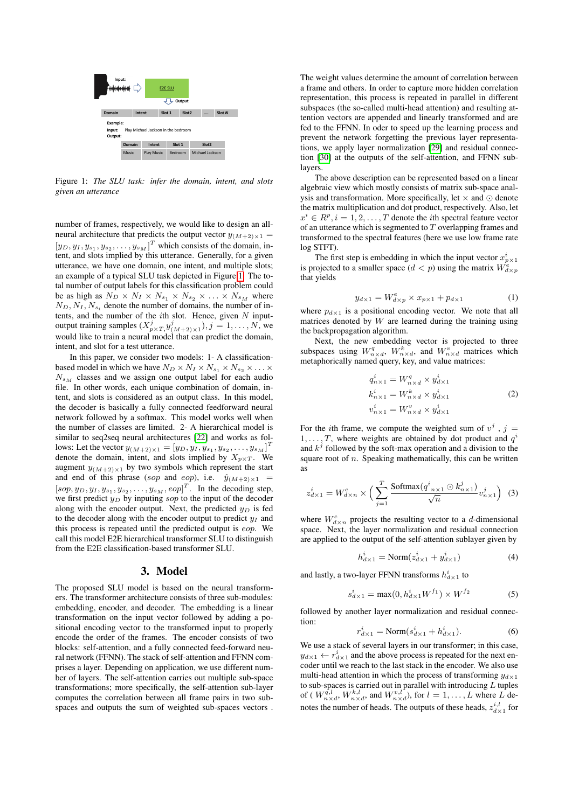<span id="page-1-0"></span>

Figure 1: *The SLU task: infer the domain, intent, and slots given an utterance*

number of frames, respectively, we would like to design an allneural architecture that predicts the output vector  $y_{(M+2) \times 1}$  =  $[y_D, y_I, y_{s_1}, y_{s_2}, \dots, y_{s_M}]^T$  which consists of the domain, intent, and slots implied by this utterance. Generally, for a given utterance, we have one domain, one intent, and multiple slots; an example of a typical SLU task depicted in Figure [1.](#page-1-0) The total number of output labels for this classification problem could be as high as  $N_D \times N_I \times N_{s_1} \times N_{s_2} \times \ldots \times N_{s_M}$  where  $N_D, N_I, N_{s_i}$  denote the number of domains, the number of intents, and the number of the  $i$ th slot. Hence, given  $N$  inputoutput training samples  $(X^j_{p \times T, y^j_{(M+2) \times 1}})$ ,  $j = 1, ..., N$ , we would like to train a neural model that can predict the domain, intent, and slot for a test utterance.

In this paper, we consider two models: 1- A classificationbased model in which we have  $N_D \times N_I \times N_{s_1} \times N_{s_2} \times \ldots \times$  $N_{s_M}$  classes and we assign one output label for each audio file. In other words, each unique combination of domain, intent, and slots is considered as an output class. In this model, the decoder is basically a fully connected feedforward neural network followed by a softmax. This model works well when the number of classes are limited. 2- A hierarchical model is similar to seq2seq neural architectures [\[22\]](#page-4-12) and works as follows: Let the vector  $y_{(M+2) \times 1} = [y_D, y_I, y_{s_1}, y_{s_2}, \dots, y_{s_M}]^T$ denote the domain, intent, and slots implied by  $X_{p \times T}$ . We augment  $y_{(M+2) \times 1}$  by two symbols which represent the start and end of this phrase (sop and eop), i.e.  $\hat{y}_{(M+2)\times 1}$  =  $[sop, y_D, y_I, y_{s_1}, y_{s_2}, \dots, y_{s_M}, eop]^T$ . In the decoding step, we first predict  $y_D$  by inputing sop to the input of the decoder along with the encoder output. Next, the predicted  $y_D$  is fed to the decoder along with the encoder output to predict  $y_I$  and this process is repeated until the predicted output is eop. We call this model E2E hierarchical transformer SLU to distinguish from the E2E classification-based transformer SLU.

### 3. Model

The proposed SLU model is based on the neural transformers. The transformer architecture consists of three sub-modules: embedding, encoder, and decoder. The embedding is a linear transformation on the input vector followed by adding a positional encoding vector to the transformed input to properly encode the order of the frames. The encoder consists of two blocks: self-attention, and a fully connected feed-forward neural network (FFNN). The stack of self-attention and FFNN comprises a layer. Depending on application, we use different number of layers. The self-attention carries out multiple sub-space transformations; more specifically, the self-attention sub-layer computes the correlation between all frame pairs in two subspaces and outputs the sum of weighted sub-spaces vectors . The weight values determine the amount of correlation between a frame and others. In order to capture more hidden correlation representation, this process is repeated in parallel in different subspaces (the so-called multi-head attention) and resulting attention vectors are appended and linearly transformed and are fed to the FFNN. In oder to speed up the learning process and prevent the network forgetting the previous layer representations, we apply layer normalization [\[29\]](#page-4-21) and residual connection [\[30\]](#page-4-22) at the outputs of the self-attention, and FFNN sublayers.

The above description can be represented based on a linear algebraic view which mostly consists of matrix sub-space analysis and transformation. More specifically, let  $\times$  and  $\odot$  denote the matrix multiplication and dot product, respectively. Also, let  $x^i \in R^p, i = 1, 2, \dots, T$  denote the *i*th spectral feature vector of an utterance which is segmented to  $T$  overlapping frames and transformed to the spectral features (here we use low frame rate log STFT).

The first step is embedding in which the input vector  $x_{p\times 1}^i$ is projected to a smaller space  $(d < p)$  using the matrix  $W_{d \times p}^e$ that yields

$$
y_{d \times 1} = W_{d \times p}^e \times x_{p \times 1} + p_{d \times 1}
$$
 (1)

where  $p_{d\times 1}$  is a positional encoding vector. We note that all matrices denoted by  $W$  are learned during the training using the backpropagation algorithm.

Next, the new embedding vector is projected to three subspaces using  $W_{n\times d}^q$ ,  $W_{n\times d}^k$ , and  $W_{n\times d}^v$  matrices which metaphorically named query, key, and value matrices:

$$
q_{n\times 1}^i = W_{n\times d}^q \times y_{d\times 1}^i
$$
  
\n
$$
k_{n\times 1}^i = W_{n\times d}^k \times y_{d\times 1}^i
$$
  
\n
$$
v_{n\times 1}^i = W_{n\times d}^v \times y_{d\times 1}^i
$$
\n(2)

For the *i*th frame, we compute the weighted sum of  $v^j$ ,  $j =$  $1, \ldots, T$ , where weights are obtained by dot product and  $q^i$ and  $k^j$  followed by the soft-max operation and a division to the square root of  $n$ . Speaking mathematically, this can be written as

$$
z_{d\times 1}^i = W_{d\times n}^c \times \Big(\sum_{j=1}^T \frac{\text{Softmax}(q^i_{n\times 1} \odot k_{n\times 1}^j)}{\sqrt{n}} v_{n\times 1}^j\Big) \tag{3}
$$

where  $W_{d\times n}^{c}$  projects the resulting vector to a d-dimensional space. Next, the layer normalization and residual connection are applied to the output of the self-attention sublayer given by

$$
h_{d\times 1}^i = \text{Norm}(z_{d\times 1}^i + y_{d\times 1}^i)
$$
 (4)

and lastly, a two-layer FFNN transforms  $h_{d\times 1}^i$  to

$$
s_{d \times 1}^{i} = \max(0, h_{d \times 1}^{i} W^{f_1}) \times W^{f_2}
$$
 (5)

followed by another layer normalization and residual connection:

$$
r_{d\times 1}^i = \text{Norm}(s_{d\times 1}^i + h_{d\times 1}^i). \tag{6}
$$

We use a stack of several layers in our transformer; in this case,  $y_{d\times 1} \leftarrow r_{d\times 1}^i$  and the above process is repeated for the next encoder until we reach to the last stack in the encoder. We also use multi-head attention in which the process of transforming  $y_{d\times 1}$ to sub-spaces is carried out in parallel with introducing  $L$  tuples of (  $W_{n\times d}^{\tilde{q},l}$ ,  $W_{n\times d}^{k,l}$ , and  $W_{n\times d}^{v,l}$ ), for  $l = 1, ..., L$  where  $\tilde{L}$  denotes the number of heads. The outputs of these heads,  $z_{d\times 1}^{i,l}$  for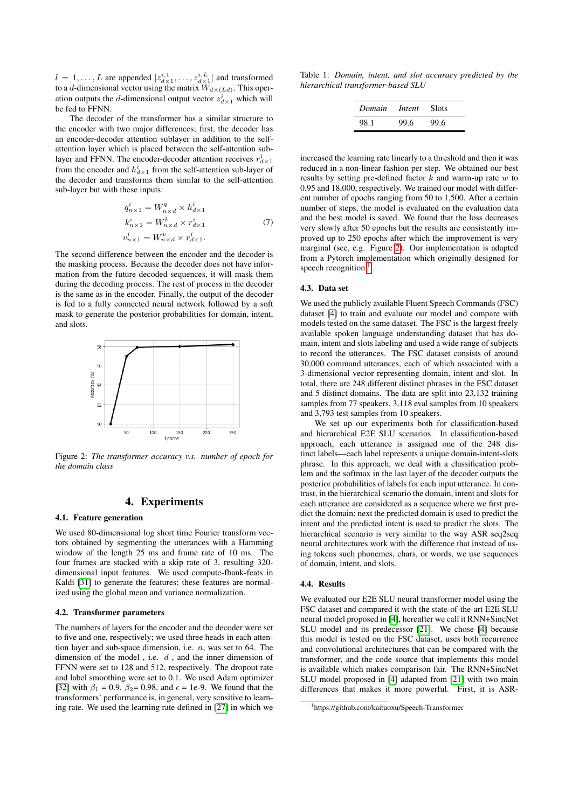$l = 1, \ldots, L$  are appended  $[z_{d \times 1}^{i,1}, \ldots, z_{d \times 1}^{i,L}]$  and transformed to a d-dimensional vector using the matrix  $\widetilde{W}_{d\times (Ld)}$ . This operation outputs the *d*-dimensional output vector  $z_{d\times 1}^i$  which will be fed to FFNN.

The decoder of the transformer has a similar structure to the encoder with two major differences; first, the decoder has an encoder-decoder attention sublayer in addition to the selfattention layer which is placed between the self-attention sublayer and FFNN. The encoder-decoder attention receives  $r_{d\times 1}^i$ from the encoder and  $h_{d\times 1}^i$  from the self-attention sub-layer of the decoder and transforms them similar to the self-attention sub-layer but with these inputs:

$$
q_{n\times 1}^{i} = W_{n\times d}^{q} \times h_{d\times 1}^{i}
$$
  
\n
$$
k_{n\times 1}^{i} = W_{n\times d}^{k} \times r_{d\times 1}^{i}
$$
  
\n
$$
v_{n\times 1}^{i} = W_{n\times d}^{v} \times r_{d\times 1}^{i}.
$$
\n(7)

The second difference between the encoder and the decoder is the masking process. Because the decoder does not have information from the future decoded sequences, it will mask them during the decoding process. The rest of process in the decoder is the same as in the encoder. Finally, the output of the decoder is fed to a fully connected neural network followed by a soft mask to generate the posterior probabilities for domain, intent, and slots.

<span id="page-2-0"></span>

Figure 2: *The transformer accuracy v.s. number of epoch for the domain class*

# 4. Experiments

#### 4.1. Feature generation

We used 80-dimensional log short time Fourier transform vectors obtained by segmenting the utterances with a Hamming window of the length 25 ms and frame rate of 10 ms. The four frames are stacked with a skip rate of 3, resulting 320 dimensional input features. We used compute-fbank-feats in Kaldi [\[31\]](#page-4-23) to generate the features; these features are normalized using the global mean and variance normalization.

### 4.2. Transformer parameters

The numbers of layers for the encoder and the decoder were set to five and one, respectively; we used three heads in each attention layer and sub-space dimension, i.e.  $n$ , was set to 64. The dimension of the model, i.e.  $d$ , and the inner dimension of FFNN were set to 128 and 512, respectively. The dropout rate and label smoothing were set to 0.1. We used Adam optimizer [\[32\]](#page-4-24) with  $\beta_1 = 0.9$ ,  $\beta_2 = 0.98$ , and  $\epsilon = 1e-9$ . We found that the transformers' performance is, in general, very sensitive to learning rate. We used the learning rate defined in [\[27\]](#page-4-18) in which we

<span id="page-2-2"></span>

|  |                                    |  |  | Table 1: Domain, intent, and slot accuracy predicted by the |  |
|--|------------------------------------|--|--|-------------------------------------------------------------|--|
|  | hierarchical transformer-based SLU |  |  |                                                             |  |

| <i>Domain Intent</i> Slots |      |      |
|----------------------------|------|------|
| 98.1                       | 99.6 | 99.6 |

increased the learning rate linearly to a threshold and then it was reduced in a non-linear fashion per step. We obtained our best results by setting pre-defined factor  $k$  and warm-up rate  $w$  to 0.95 and 18,000, respectively. We trained our model with different number of epochs ranging from 50 to 1,500. After a certain number of steps, the model is evaluated on the evaluation data and the best model is saved. We found that the loss decreases very slowly after 50 epochs but the results are consistently improved up to 250 epochs after which the improvement is very marginal (see, e.g. Figure [2\)](#page-2-0). Our implementation is adapted from a Pytorch implementation which originally designed for speech recognition $<sup>1</sup>$  $<sup>1</sup>$  $<sup>1</sup>$ .</sup>

#### 4.3. Data set

We used the publicly available Fluent Speech Commands (FSC) dataset [\[4\]](#page-4-9) to train and evaluate our model and compare with models tested on the same dataset. The FSC is the largest freely available spoken language understanding dataset that has domain, intent and slots labeling and used a wide range of subjects to record the utterances. The FSC dataset consists of around 30,000 command utterances, each of which associated with a 3-dimensional vector representing domain, intent and slot. In total, there are 248 different distinct phrases in the FSC dataset and 5 distinct domains. The data are split into 23,132 training samples from 77 speakers, 3,118 eval samples from 10 speakers and 3,793 test samples from 10 speakers.

We set up our experiments both for classification-based and hierarchical E2E SLU scenarios. In classification-based approach, each utterance is assigned one of the 248 distinct labels—each label represents a unique domain-intent-slots phrase. In this approach, we deal with a classification problem and the softmax in the last layer of the decoder outputs the posterior probabilities of labels for each input utterance. In contrast, in the hierarchical scenario the domain, intent and slots for each utterance are considered as a sequence where we first predict the domain; next the predicted domain is used to predict the intent and the predicted intent is used to predict the slots. The hierarchical scenario is very similar to the way ASR seq2seq neural architectures work with the difference that instead of using tokens such phonemes, chars, or words, we use sequences of domain, intent, and slots.

#### 4.4. Results

We evaluated our E2E SLU neural transformer model using the FSC dataset and compared it with the state-of-the-art E2E SLU neural model proposed in [\[4\]](#page-4-9), hereafter we call it RNN+SincNet SLU model and its predecessor [\[21\]](#page-4-8). We chose [\[4\]](#page-4-9) because this model is tested on the FSC dataset, uses both recurrence and convolutional architectures that can be compared with the transformer, and the code source that implements this model is available which makes comparison fair. The RNN+SincNet SLU model proposed in [\[4\]](#page-4-9) adapted from [\[21\]](#page-4-8) with two main differences that makes it more powerful. First, it is ASR-

<span id="page-2-1"></span><sup>1</sup>https://github.com/kaituoxu/Speech-Transformer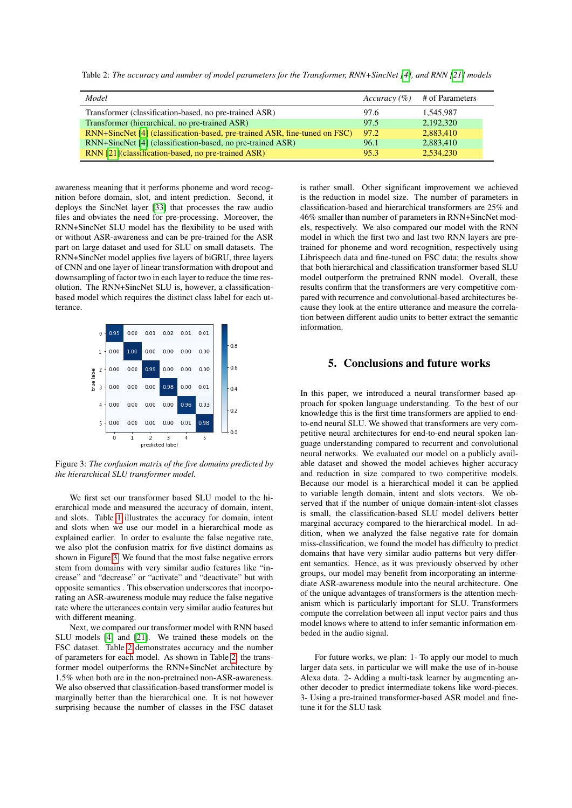<span id="page-3-1"></span>Table 2: *The accuracy and number of model parameters for the Transformer, RNN+SincNet [\[4\]](#page-4-9), and RNN [\[21\]](#page-4-8) models* 

| Model                                                                      | Accuracy $(\% )$ | # of Parameters |
|----------------------------------------------------------------------------|------------------|-----------------|
| Transformer (classification-based, no pre-trained ASR)                     | 97.6             | 1.545.987       |
| Transformer (hierarchical, no pre-trained ASR)                             | 97.5             | 2,192,320       |
| RNN+SincNet [4] (classification-based, pre-trained ASR, fine-tuned on FSC) | 97.2             | 2,883,410       |
| RNN+SincNet [4] (classification-based, no pre-trained ASR)                 | 96.1             | 2,883,410       |
| RNN [21] (classification-based, no pre-trained ASR)                        | 95.3             | 2.534.230       |

awareness meaning that it performs phoneme and word recognition before domain, slot, and intent prediction. Second, it deploys the SincNet layer [\[33\]](#page-4-25) that processes the raw audio files and obviates the need for pre-processing. Moreover, the RNN+SincNet SLU model has the flexibility to be used with or without ASR-awareness and can be pre-trained for the ASR part on large dataset and used for SLU on small datasets. The RNN+SincNet model applies five layers of biGRU, three layers of CNN and one layer of linear transformation with dropout and downsampling of factor two in each layer to reduce the time resolution. The RNN+SincNet SLU is, however, a classificationbased model which requires the distinct class label for each utterance.

<span id="page-3-0"></span>

Figure 3: *The confusion matrix of the five domains predicted by the hierarchical SLU transformer model.*

We first set our transformer based SLU model to the hierarchical mode and measured the accuracy of domain, intent, and slots. Table [1](#page-2-2) illustrates the accuracy for domain, intent and slots when we use our model in a hierarchical mode as explained earlier. In order to evaluate the false negative rate, we also plot the confusion matrix for five distinct domains as shown in Figure [3.](#page-3-0) We found that the most false negative errors stem from domains with very similar audio features like "increase" and "decrease" or "activate" and "deactivate" but with opposite semantics . This observation underscores that incorporating an ASR-awareness module may reduce the false negative rate where the utterances contain very similar audio features but with different meaning.

Next, we compared our transformer model with RNN based SLU models [\[4\]](#page-4-9) and [\[21\]](#page-4-8). We trained these models on the FSC dataset. Table [2](#page-3-1) demonstrates accuracy and the number of parameters for each model. As shown in Table [2,](#page-3-1) the transformer model outperforms the RNN+SincNet architecture by 1.5% when both are in the non-pretrained non-ASR-awareness. We also observed that classification-based transformer model is marginally better than the hierarchical one. It is not however surprising because the number of classes in the FSC dataset is rather small. Other significant improvement we achieved is the reduction in model size. The number of parameters in classification-based and hierarchical transformers are 25% and 46% smaller than number of parameters in RNN+SincNet models, respectively. We also compared our model with the RNN model in which the first two and last two RNN layers are pretrained for phoneme and word recognition, respectively using Librispeech data and fine-tuned on FSC data; the results show that both hierarchical and classification transformer based SLU model outperform the pretrained RNN model. Overall, these results confirm that the transformers are very competitive compared with recurrence and convolutional-based architectures because they look at the entire utterance and measure the correlation between different audio units to better extract the semantic information.

# 5. Conclusions and future works

In this paper, we introduced a neural transformer based approach for spoken language understanding. To the best of our knowledge this is the first time transformers are applied to endto-end neural SLU. We showed that transformers are very competitive neural architectures for end-to-end neural spoken language understanding compared to recurrent and convolutional neural networks. We evaluated our model on a publicly available dataset and showed the model achieves higher accuracy and reduction in size compared to two competitive models. Because our model is a hierarchical model it can be applied to variable length domain, intent and slots vectors. We observed that if the number of unique domain-intent-slot classes is small, the classification-based SLU model delivers better marginal accuracy compared to the hierarchical model. In addition, when we analyzed the false negative rate for domain miss-classification, we found the model has difficulty to predict domains that have very similar audio patterns but very different semantics. Hence, as it was previously observed by other groups, our model may benefit from incorporating an intermediate ASR-awareness module into the neural architecture. One of the unique advantages of transformers is the attention mechanism which is particularly important for SLU. Transformers compute the correlation between all input vector pairs and thus model knows where to attend to infer semantic information embeded in the audio signal.

For future works, we plan: 1- To apply our model to much larger data sets, in particular we will make the use of in-house Alexa data. 2- Adding a multi-task learner by augmenting another decoder to predict intermediate tokens like word-pieces. 3- Using a pre-trained transformer-based ASR model and finetune it for the SLU task